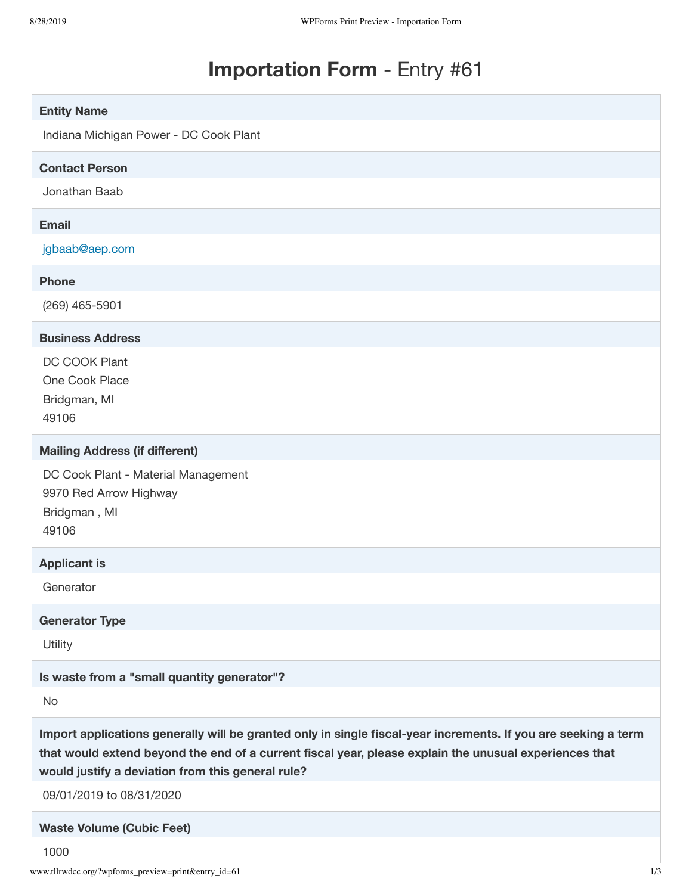## **Importation Form** - Entry #61

| <b>Entity Name</b>                                                                                                                                                                                                                                                            |
|-------------------------------------------------------------------------------------------------------------------------------------------------------------------------------------------------------------------------------------------------------------------------------|
| Indiana Michigan Power - DC Cook Plant                                                                                                                                                                                                                                        |
| <b>Contact Person</b>                                                                                                                                                                                                                                                         |
| Jonathan Baab                                                                                                                                                                                                                                                                 |
| <b>Email</b>                                                                                                                                                                                                                                                                  |
| jgbaab@aep.com                                                                                                                                                                                                                                                                |
| <b>Phone</b>                                                                                                                                                                                                                                                                  |
| $(269)$ 465-5901                                                                                                                                                                                                                                                              |
| <b>Business Address</b>                                                                                                                                                                                                                                                       |
| DC COOK Plant<br>One Cook Place<br>Bridgman, MI<br>49106                                                                                                                                                                                                                      |
| <b>Mailing Address (if different)</b>                                                                                                                                                                                                                                         |
| DC Cook Plant - Material Management<br>9970 Red Arrow Highway<br>Bridgman, MI<br>49106                                                                                                                                                                                        |
| <b>Applicant is</b>                                                                                                                                                                                                                                                           |
| Generator                                                                                                                                                                                                                                                                     |
| <b>Generator Type</b>                                                                                                                                                                                                                                                         |
| Utility                                                                                                                                                                                                                                                                       |
| Is waste from a "small quantity generator"?                                                                                                                                                                                                                                   |
| No                                                                                                                                                                                                                                                                            |
| Import applications generally will be granted only in single fiscal-year increments. If you are seeking a term<br>that would extend beyond the end of a current fiscal year, please explain the unusual experiences that<br>would justify a deviation from this general rule? |
| 09/01/2019 to 08/31/2020                                                                                                                                                                                                                                                      |
| <b>Waste Volume (Cubic Feet)</b>                                                                                                                                                                                                                                              |
| 1000                                                                                                                                                                                                                                                                          |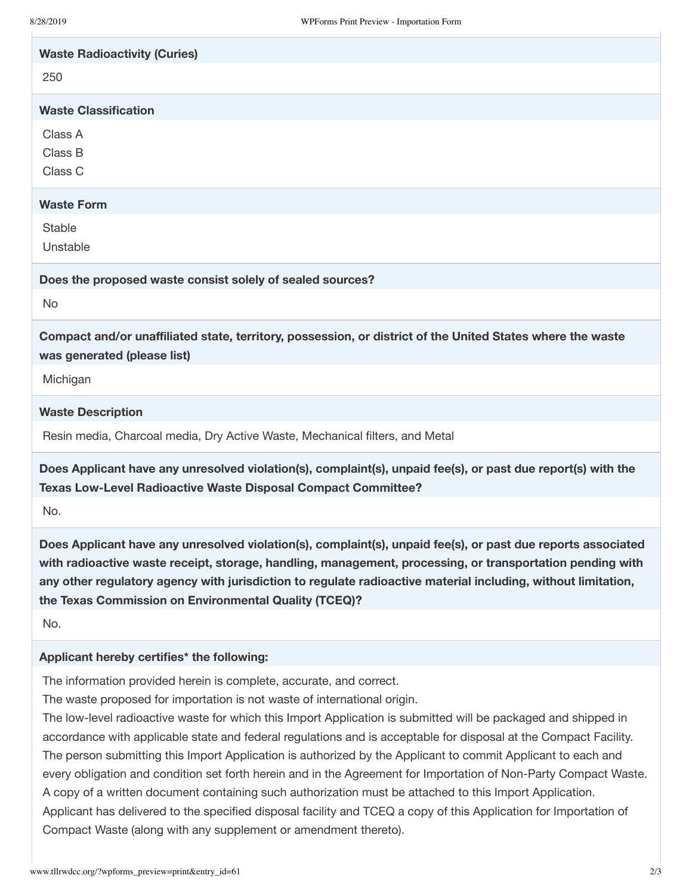| <b>Waste Radioactivity (Curies)</b>                                                                                                                                                                                                                                                                                                                                                                 |
|-----------------------------------------------------------------------------------------------------------------------------------------------------------------------------------------------------------------------------------------------------------------------------------------------------------------------------------------------------------------------------------------------------|
| 250                                                                                                                                                                                                                                                                                                                                                                                                 |
| <b>Waste Classification</b>                                                                                                                                                                                                                                                                                                                                                                         |
| Class A                                                                                                                                                                                                                                                                                                                                                                                             |
| Class B                                                                                                                                                                                                                                                                                                                                                                                             |
| Class C                                                                                                                                                                                                                                                                                                                                                                                             |
| <b>Waste Form</b>                                                                                                                                                                                                                                                                                                                                                                                   |
| <b>Stable</b>                                                                                                                                                                                                                                                                                                                                                                                       |
| Unstable                                                                                                                                                                                                                                                                                                                                                                                            |
| Does the proposed waste consist solely of sealed sources?                                                                                                                                                                                                                                                                                                                                           |
| <b>No</b>                                                                                                                                                                                                                                                                                                                                                                                           |
| Compact and/or unaffiliated state, territory, possession, or district of the United States where the waste<br>was generated (please list)                                                                                                                                                                                                                                                           |
| Michigan                                                                                                                                                                                                                                                                                                                                                                                            |
| <b>Waste Description</b>                                                                                                                                                                                                                                                                                                                                                                            |
| Resin media, Charcoal media, Dry Active Waste, Mechanical filters, and Metal                                                                                                                                                                                                                                                                                                                        |
| Does Applicant have any unresolved violation(s), complaint(s), unpaid fee(s), or past due report(s) with the<br>Texas Low-Level Radioactive Waste Disposal Compact Committee?                                                                                                                                                                                                                       |
| No.                                                                                                                                                                                                                                                                                                                                                                                                 |
| Does Applicant have any unresolved violation(s), complaint(s), unpaid fee(s), or past due reports associated<br>with radioactive waste receipt, storage, handling, management, processing, or transportation pending with<br>any other regulatory agency with jurisdiction to regulate radioactive material including, without limitation,<br>the Texas Commission on Environmental Quality (TCEQ)? |
| No.                                                                                                                                                                                                                                                                                                                                                                                                 |
| Applicant hereby certifies* the following:                                                                                                                                                                                                                                                                                                                                                          |
| The information provided herein is complete, accurate, and correct.                                                                                                                                                                                                                                                                                                                                 |
| The waste proposed for importation is not waste of international origin.                                                                                                                                                                                                                                                                                                                            |
| The low-level radioactive waste for which this Import Application is submitted will be packaged and shipped in                                                                                                                                                                                                                                                                                      |
| accordance with applicable state and federal regulations and is acceptable for disposal at the Compact Facility.<br>The person submitting this Import Application is authorized by the Applicant to commit Applicant to each and                                                                                                                                                                    |
| every obligation and condition set forth herein and in the Agreement for Importation of Non-Party Compact Waste.                                                                                                                                                                                                                                                                                    |

A copy of a written document containing such authorization must be attached to this Import Application. Applicant has delivered to the specified disposal facility and TCEQ a copy of this Application for Importation of Compact Waste (along with any supplement or amendment thereto).